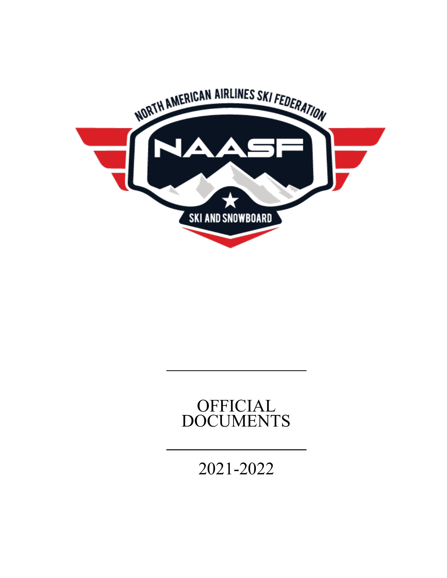

# OFFICIAL DOCUMENTS

**\_\_\_\_\_\_\_\_\_\_\_\_\_\_\_\_\_\_\_\_\_\_\_\_\_\_\_\_\_\_\_\_**

2021-2022

 $\mathcal{L}_\text{max}$  , where  $\mathcal{L}_\text{max}$  , we have the set of  $\mathcal{L}_\text{max}$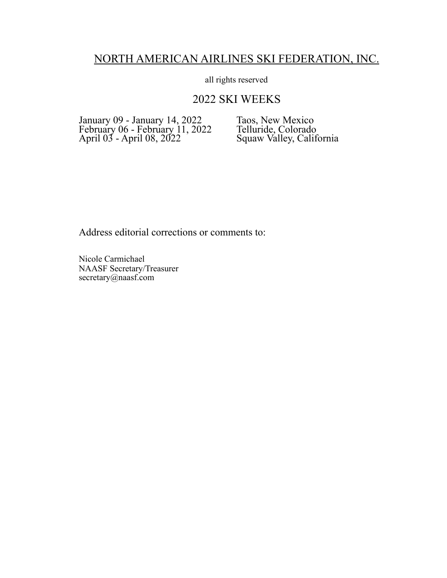## NORTH AMERICAN AIRLINES SKI FEDERATION, INC.

all rights reserved

## 2022 SKI WEEKS

January 09 - January 14, 2022 Taos, New Mexico February 06 - February 11, 2022 Telluride, Colorado April 03 - April 08, 2022 Squaw Valley, California

Address editorial corrections or comments to:

Nicole Carmichael NAASF Secretary/Treasurer secretary@naasf.com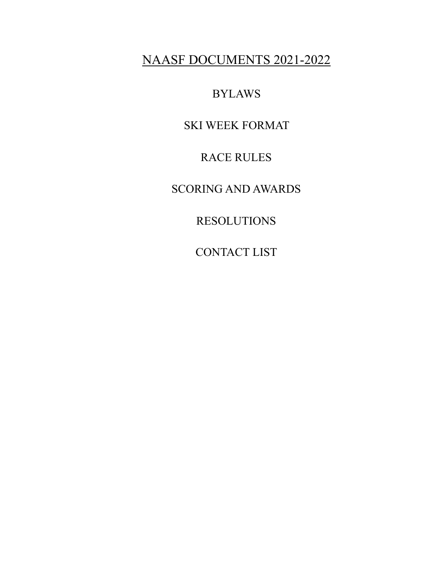# NAASF DOCUMENTS 2021-2022

BYLAWS

SKI WEEK FORMAT

RACE RULES

SCORING AND AWARDS

RESOLUTIONS

CONTACT LIST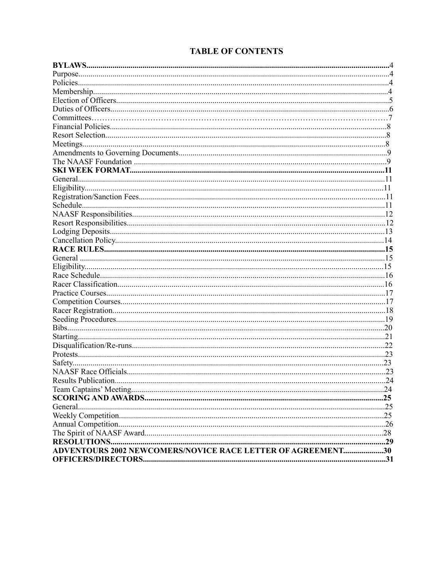### **TABLE OF CONTENTS**

| <b>ADVENTOURS 2002 NEWCOMERS/NOVICE RACE LETTER OF AGREEMENT30</b> |  |
|--------------------------------------------------------------------|--|
|                                                                    |  |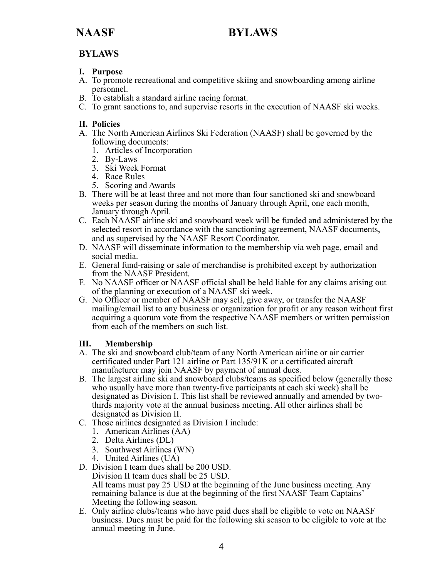## **BYLAWS**

### **I. Purpose**

- A. To promote recreational and competitive skiing and snowboarding among airline personnel.
- B. To establish a standard airline racing format.
- C. To grant sanctions to, and supervise resorts in the execution of NAASF ski weeks.

### **II. Policies**

- A. The North American Airlines Ski Federation (NAASF) shall be governed by the following documents:
	- 1. Articles of Incorporation
	- 2. By-Laws
	- 3. Ski Week Format
	- 4. Race Rules
	- 5. Scoring and Awards
- B. There will be at least three and not more than four sanctioned ski and snowboard weeks per season during the months of January through April, one each month, January through April.
- C. Each NAASF airline ski and snowboard week will be funded and administered by the selected resort in accordance with the sanctioning agreement, NAASF documents, and as supervised by the NAASF Resort Coordinator.
- D. NAASF will disseminate information to the membership via web page, email and social media.
- E. General fund-raising or sale of merchandise is prohibited except by authorization from the NAASF President.
- F. No NAASF officer or NAASF official shall be held liable for any claims arising out of the planning or execution of a NAASF ski week.
- G. No Officer or member of NAASF may sell, give away, or transfer the NAASF mailing/email list to any business or organization for profit or any reason without first acquiring a quorum vote from the respective NAASF members or written permission from each of the members on such list.

### **III. Membership**

- A. The ski and snowboard club/team of any North American airline or air carrier certificated under Part 121 airline or Part 135/91K or a certificated aircraft manufacturer may join NAASF by payment of annual dues.
- B. The largest airline ski and snowboard clubs/teams as specified below (generally those who usually have more than twenty-five participants at each ski week) shall be designated as Division I. This list shall be reviewed annually and amended by twothirds majority vote at the annual business meeting. All other airlines shall be designated as Division II.
- C. Those airlines designated as Division I include:
	- 1. American Airlines (AA)
	- 2. Delta Airlines (DL)
	- 3. Southwest Airlines (WN)
	- 4. United Airlines (UA)
- D. Division I team dues shall be 200 USD. Division II team dues shall be 25 USD. All teams must pay 25 USD at the beginning of the June business meeting. Any remaining balance is due at the beginning of the first NAASF Team Captains' Meeting the following season.
- E. Only airline clubs/teams who have paid dues shall be eligible to vote on NAASF business. Dues must be paid for the following ski season to be eligible to vote at the annual meeting in June.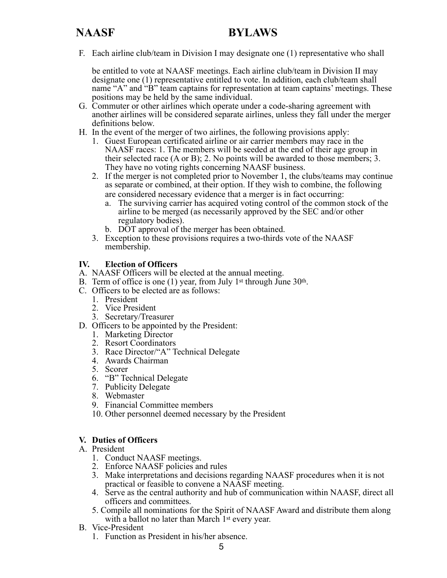F. Each airline club/team in Division I may designate one (1) representative who shall

 be entitled to vote at NAASF meetings. Each airline club/team in Division II may designate one (1) representative entitled to vote. In addition, each club/team shall name "A" and "B" team captains for representation at team captains' meetings. These positions may be held by the same individual.

- G. Commuter or other airlines which operate under a code-sharing agreement with another airlines will be considered separate airlines, unless they fall under the merger definitions below.
- H. In the event of the merger of two airlines, the following provisions apply:
	- 1. Guest European certificated airline or air carrier members may race in the NAASF races: 1. The members will be seeded at the end of their age group in their selected race (A or B); 2. No points will be awarded to those members; 3. They have no voting rights concerning NAASF business.
	- 2. If the merger is not completed prior to November 1, the clubs/teams may continue as separate or combined, at their option. If they wish to combine, the following are considered necessary evidence that a merger is in fact occurring:
		- a. The surviving carrier has acquired voting control of the common stock of the airline to be merged (as necessarily approved by the SEC and/or other regulatory bodies).
		- b. DOT approval of the merger has been obtained.
	- 3. Exception to these provisions requires a two-thirds vote of the NAASF membership.

#### **IV. Election of Officers**

- A. NAASF Officers will be elected at the annual meeting.
- B. Term of office is one (1) year, from July 1<sup>st</sup> through June  $30<sup>th</sup>$ .
- C. Officers to be elected are as follows:
	- 1. President
	- 2. Vice President
	- 3. Secretary/Treasurer
- D. Officers to be appointed by the President:
	- 1. Marketing Director
	- 2. Resort Coordinators
	- 3. Race Director/"A" Technical Delegate
	- 4. Awards Chairman
	- 5. Scorer
	- 6. "B" Technical Delegate
	- 7. Publicity Delegate
	- 8. Webmaster
	- 9. Financial Committee members
	- 10. Other personnel deemed necessary by the President

#### **V. Duties of Officers**

#### A. President

- 1. Conduct NAASF meetings.
- 2. Enforce NAASF policies and rules
- 3. Make interpretations and decisions regarding NAASF procedures when it is not practical or feasible to convene a NAASF meeting.
- 4. Serve as the central authority and hub of communication within NAASF, direct all officers and committees.
- 5. Compile all nominations for the Spirit of NAASF Award and distribute them along with a ballot no later than March 1<sup>st</sup> every year.
- B. Vice-President
	- 1. Function as President in his/her absence.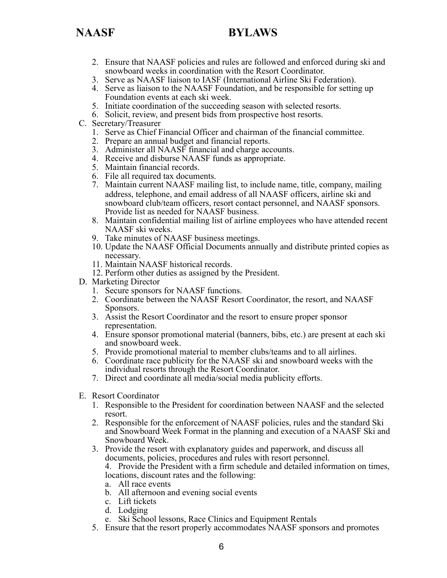- 2. Ensure that NAASF policies and rules are followed and enforced during ski and snowboard weeks in coordination with the Resort Coordinator.
- 3. Serve as NAASF liaison to IASF (International Airline Ski Federation).
- 4. Serve as liaison to the NAASF Foundation, and be responsible for setting up Foundation events at each ski week.
- 5. Initiate coordination of the succeeding season with selected resorts.
- 6. Solicit, review, and present bids from prospective host resorts.
- C. Secretary/Treasurer
	- 1. Serve as Chief Financial Officer and chairman of the financial committee.
	- 2. Prepare an annual budget and financial reports.
	- 3. Administer all NAASF financial and charge accounts.
	- 4. Receive and disburse NAASF funds as appropriate.
	- 5. Maintain financial records.
	- 6. File all required tax documents.
	- 7. Maintain current NAASF mailing list, to include name, title, company, mailing address, telephone, and email address of all NAASF officers, airline ski and snowboard club/team officers, resort contact personnel, and NAASF sponsors. Provide list as needed for NAASF business.
	- 8. Maintain confidential mailing list of airline employees who have attended recent NAASF ski weeks.
	- 9. Take minutes of NAASF business meetings.
	- 10. Update the NAASF Official Documents annually and distribute printed copies as necessary.
	- 11. Maintain NAASF historical records.
	- 12. Perform other duties as assigned by the President.
- D. Marketing Director
	- 1. Secure sponsors for NAASF functions.
	- 2. Coordinate between the NAASF Resort Coordinator, the resort, and NAASF Sponsors.
	- 3. Assist the Resort Coordinator and the resort to ensure proper sponsor representation.
	- 4. Ensure sponsor promotional material (banners, bibs, etc.) are present at each ski and snowboard week.
	- 5. Provide promotional material to member clubs/teams and to all airlines.
	- 6. Coordinate race publicity for the NAASF ski and snowboard weeks with the individual resorts through the Resort Coordinator.
	- 7. Direct and coordinate all media/social media publicity efforts.
- E. Resort Coordinator
	- 1. Responsible to the President for coordination between NAASF and the selected resort.
	- 2. Responsible for the enforcement of NAASF policies, rules and the standard Ski and Snowboard Week Format in the planning and execution of a NAASF Ski and Snowboard Week.
	- 3. Provide the resort with explanatory guides and paperwork, and discuss all documents, policies, procedures and rules with resort personnel.

 4. Provide the President with a firm schedule and detailed information on times, locations, discount rates and the following:

- a. All race events
- b. All afternoon and evening social events
- c. Lift tickets
- d. Lodging
- e. Ski School lessons, Race Clinics and Equipment Rentals
- 5. Ensure that the resort properly accommodates NAASF sponsors and promotes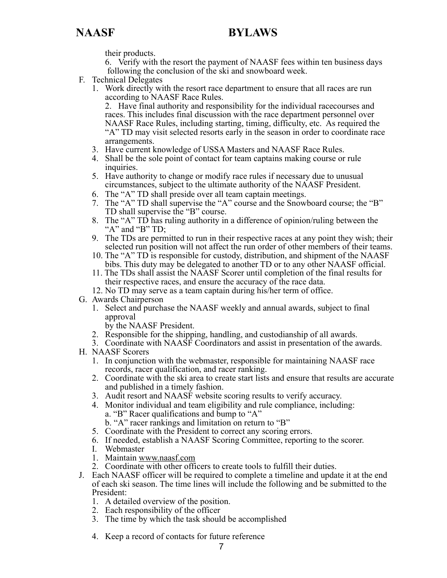their products.

 6. Verify with the resort the payment of NAASF fees within ten business days following the conclusion of the ski and snowboard week.

- F. Technical Delegates
	- 1. Work directly with the resort race department to ensure that all races are run according to NAASF Race Rules.

 2. Have final authority and responsibility for the individual racecourses and races. This includes final discussion with the race department personnel over NAASF Race Rules, including starting, timing, difficulty, etc. As required the "A" TD may visit selected resorts early in the season in order to coordinate race arrangements.

- 3. Have current knowledge of USSA Masters and NAASF Race Rules.
- 4. Shall be the sole point of contact for team captains making course or rule inquiries.
- 5. Have authority to change or modify race rules if necessary due to unusual circumstances, subject to the ultimate authority of the NAASF President.
- 6. The "A" TD shall preside over all team captain meetings.
- 7. The "A" TD shall supervise the "A" course and the Snowboard course; the "B" TD shall supervise the "B" course.
- 8. The "A" TD has ruling authority in a difference of opinion/ruling between the " $A$ " and " $B$ " TD;
- 9. The TDs are permitted to run in their respective races at any point they wish; their selected run position will not affect the run order of other members of their teams.
- 10. The "A" TD is responsible for custody, distribution, and shipment of the NAASF bibs. This duty may be delegated to another TD or to any other NAASF official.
- 11. The TDs shall assist the NAASF Scorer until completion of the final results for their respective races, and ensure the accuracy of the race data.
- 12. No TD may serve as a team captain during his/her term of office.
- G. Awards Chairperson
	- 1. Select and purchase the NAASF weekly and annual awards, subject to final approval
		- by the NAASF President.
	- 2. Responsible for the shipping, handling, and custodianship of all awards.
	- 3. Coordinate with NAASF Coordinators and assist in presentation of the awards.
- H. NAASF Scorers
	- 1. In conjunction with the webmaster, responsible for maintaining NAASF race records, racer qualification, and racer ranking.
	- 2. Coordinate with the ski area to create start lists and ensure that results are accurate and published in a timely fashion.
	- 3. Audit resort and NAASF website scoring results to verify accuracy.
	- 4. Monitor individual and team eligibility and rule compliance, including: a. "B" Racer qualifications and bump to "A"
		- b. "A" racer rankings and limitation on return to "B"
	- 5. Coordinate with the President to correct any scoring errors.
	- 6. If needed, establish a NAASF Scoring Committee, reporting to the scorer.
	- I. Webmaster
	- 1. Maintain [www.naasf.com](http://www.naasf.com)
	- 2. Coordinate with other officers to create tools to fulfill their duties.
- J. Each NAASF officer will be required to complete a timeline and update it at the end of each ski season. The time lines will include the following and be submitted to the President:
	- 1. A detailed overview of the position.
	- 2. Each responsibility of the officer
	- 3. The time by which the task should be accomplished
	- 4. Keep a record of contacts for future reference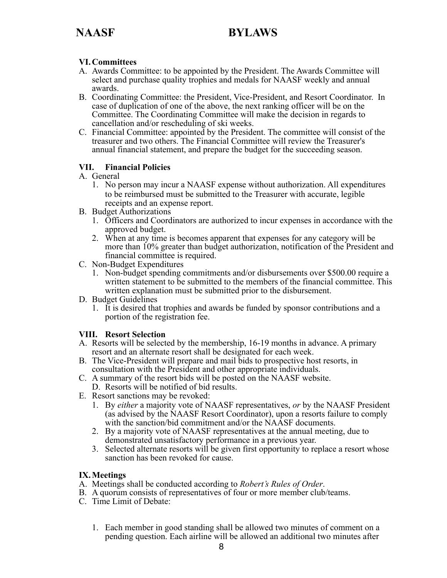### **VI. Committees**

- A. Awards Committee: to be appointed by the President. The Awards Committee will select and purchase quality trophies and medals for NAASF weekly and annual awards.
- B. Coordinating Committee: the President, Vice-President, and Resort Coordinator. In case of duplication of one of the above, the next ranking officer will be on the Committee. The Coordinating Committee will make the decision in regards to cancellation and/or rescheduling of ski weeks.
- C. Financial Committee: appointed by the President. The committee will consist of the treasurer and two others. The Financial Committee will review the Treasurer's annual financial statement, and prepare the budget for the succeeding season.

#### **VII. Financial Policies**

- A. General
	- 1. No person may incur a NAASF expense without authorization. All expenditures to be reimbursed must be submitted to the Treasurer with accurate, legible receipts and an expense report.
- B. Budget Authorizations
	- 1. Officers and Coordinators are authorized to incur expenses in accordance with the approved budget.
	- 2. When at any time is becomes apparent that expenses for any category will be more than 10% greater than budget authorization, notification of the President and financial committee is required.
- C. Non-Budget Expenditures
	- 1. Non-budget spending commitments and/or disbursements over \$500.00 require a written statement to be submitted to the members of the financial committee. This written explanation must be submitted prior to the disbursement.
- D. Budget Guidelines
	- 1. It is desired that trophies and awards be funded by sponsor contributions and a portion of the registration fee.

#### **VIII. Resort Selection**

- A. Resorts will be selected by the membership, 16-19 months in advance. A primary resort and an alternate resort shall be designated for each week.
- B. The Vice-President will prepare and mail bids to prospective host resorts, in consultation with the President and other appropriate individuals.
- C. A summary of the resort bids will be posted on the NAASF website.
	- D. Resorts will be notified of bid results.
- E. Resort sanctions may be revoked:
	- 1. By *either* a majority vote of NAASF representatives, *or* by the NAASF President (as advised by the NAASF Resort Coordinator), upon a resorts failure to comply with the sanction/bid commitment and/or the NAASF documents.
	- 2. By a majority vote of NAASF representatives at the annual meeting, due to demonstrated unsatisfactory performance in a previous year.
	- 3. Selected alternate resorts will be given first opportunity to replace a resort whose sanction has been revoked for cause.

#### **IX. Meetings**

- A. Meetings shall be conducted according to *Robert's Rules of Order*.
- B. A quorum consists of representatives of four or more member club/teams.
- C. Time Limit of Debate:
	- 1. Each member in good standing shall be allowed two minutes of comment on a pending question. Each airline will be allowed an additional two minutes after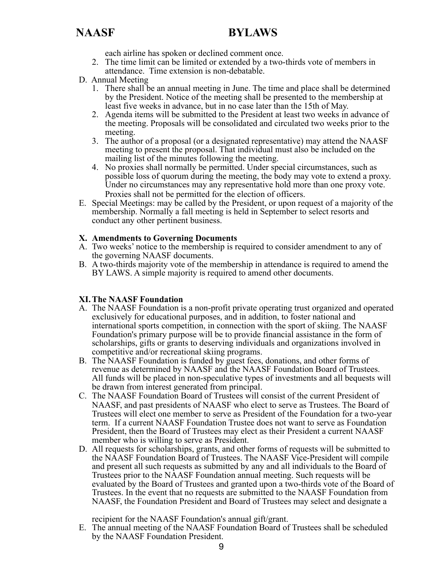each airline has spoken or declined comment once.

- 2. The time limit can be limited or extended by a two-thirds vote of members in attendance. Time extension is non-debatable.
- D. Annual Meeting
	- 1. There shall be an annual meeting in June. The time and place shall be determined by the President. Notice of the meeting shall be presented to the membership at least five weeks in advance, but in no case later than the 15th of May.
	- 2. Agenda items will be submitted to the President at least two weeks in advance of the meeting. Proposals will be consolidated and circulated two weeks prior to the meeting.
	- 3. The author of a proposal (or a designated representative) may attend the NAASF meeting to present the proposal. That individual must also be included on the mailing list of the minutes following the meeting.
	- 4. No proxies shall normally be permitted. Under special circumstances, such as possible loss of quorum during the meeting, the body may vote to extend a proxy. Under no circumstances may any representative hold more than one proxy vote. Proxies shall not be permitted for the election of officers.
- E. Special Meetings: may be called by the President, or upon request of a majority of the membership. Normally a fall meeting is held in September to select resorts and conduct any other pertinent business.

#### **X. Amendments to Governing Documents**

- A. Two weeks' notice to the membership is required to consider amendment to any of the governing NAASF documents.
- B. A two-thirds majority vote of the membership in attendance is required to amend the BY LAWS. A simple majority is required to amend other documents.

#### **XI. The NAASF Foundation**

- A. The NAASF Foundation is a non-profit private operating trust organized and operated exclusively for educational purposes, and in addition, to foster national and international sports competition, in connection with the sport of skiing. The NAASF Foundation's primary purpose will be to provide financial assistance in the form of scholarships, gifts or grants to deserving individuals and organizations involved in competitive and/or recreational skiing programs.
- B. The NAASF Foundation is funded by guest fees, donations, and other forms of revenue as determined by NAASF and the NAASF Foundation Board of Trustees. All funds will be placed in non-speculative types of investments and all bequests will be drawn from interest generated from principal.
- C. The NAASF Foundation Board of Trustees will consist of the current President of NAASF, and past presidents of NAASF who elect to serve as Trustees. The Board of Trustees will elect one member to serve as President of the Foundation for a two-year term. If a current NAASF Foundation Trustee does not want to serve as Foundation President, then the Board of Trustees may elect as their President a current NAASF member who is willing to serve as President.
- D. All requests for scholarships, grants, and other forms of requests will be submitted to the NAASF Foundation Board of Trustees. The NAASF Vice-President will compile and present all such requests as submitted by any and all individuals to the Board of Trustees prior to the NAASF Foundation annual meeting. Such requests will be evaluated by the Board of Trustees and granted upon a two-thirds vote of the Board of Trustees. In the event that no requests are submitted to the NAASF Foundation from NAASF, the Foundation President and Board of Trustees may select and designate a

recipient for the NAASF Foundation's annual gift/grant.

E. The annual meeting of the NAASF Foundation Board of Trustees shall be scheduled by the NAASF Foundation President.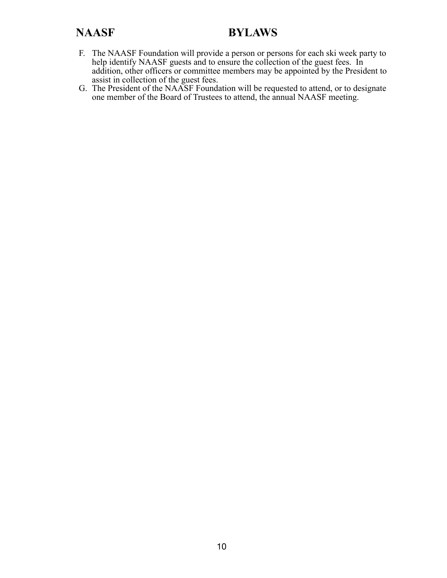- F. The NAASF Foundation will provide a person or persons for each ski week party to help identify NAASF guests and to ensure the collection of the guest fees. In addition, other officers or committee members may be appointed by the President to assist in collection of the guest fees.
- G. The President of the NAASF Foundation will be requested to attend, or to designate one member of the Board of Trustees to attend, the annual NAASF meeting.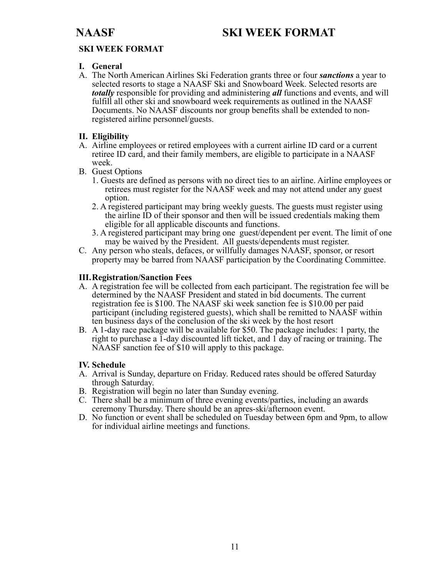## **NAASF SKI WEEK FORMAT**

### **SKI WEEK FORMAT**

#### **I. General**

A. The North American Airlines Ski Federation grants three or four *sanctions* a year to selected resorts to stage a NAASF Ski and Snowboard Week. Selected resorts are *totally* responsible for providing and administering *all* functions and events, and will fulfill all other ski and snowboard week requirements as outlined in the NAASF Documents. No NAASF discounts nor group benefits shall be extended to nonregistered airline personnel/guests.

### **II. Eligibility**

- A. Airline employees or retired employees with a current airline ID card or a current retiree ID card, and their family members, are eligible to participate in a NAASF week.
- B. Guest Options
	- 1. Guests are defined as persons with no direct ties to an airline. Airline employees or retirees must register for the NAASF week and may not attend under any guest option.
	- 2. A registered participant may bring weekly guests. The guests must register using the airline ID of their sponsor and then will be issued credentials making them eligible for all applicable discounts and functions.
	- 3. A registered participant may bring one guest/dependent per event. The limit of one may be waived by the President. All guests/dependents must register.
- C. Any person who steals, defaces, or willfully damages NAASF, sponsor, or resort property may be barred from NAASF participation by the Coordinating Committee.

#### **III. Registration/Sanction Fees**

- A. A registration fee will be collected from each participant. The registration fee will be determined by the NAASF President and stated in bid documents. The current registration fee is \$100. The NAASF ski week sanction fee is \$10.00 per paid participant (including registered guests), which shall be remitted to NAASF within ten business days of the conclusion of the ski week by the host resort
- B. A 1-day race package will be available for \$50. The package includes: 1 party, the right to purchase a 1-day discounted lift ticket, and 1 day of racing or training. The NAASF sanction fee of \$10 will apply to this package.

### **IV. Schedule**

- A. Arrival is Sunday, departure on Friday. Reduced rates should be offered Saturday through Saturday.
- B. Registration will begin no later than Sunday evening.
- C. There shall be a minimum of three evening events/parties, including an awards ceremony Thursday. There should be an apres-ski/afternoon event.
- D. No function or event shall be scheduled on Tuesday between 6pm and 9pm, to allow for individual airline meetings and functions.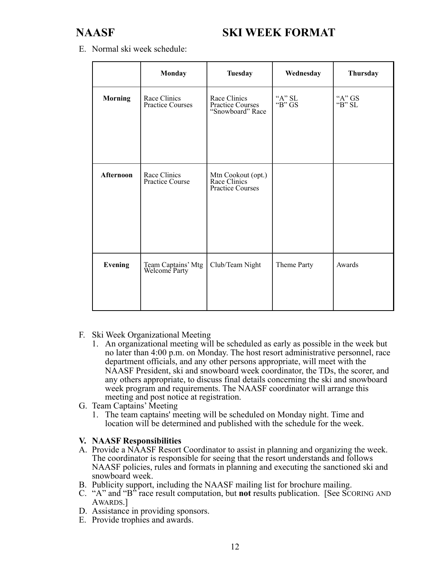## **NAASF SKI WEEK FORMAT**

E. Normal ski week schedule:

|                | Monday                                  | <b>Tuesday</b>                                                | Wednesday          | Thursday               |
|----------------|-----------------------------------------|---------------------------------------------------------------|--------------------|------------------------|
| <b>Morning</b> | Race Clinics<br><b>Practice Courses</b> | Race Clinics<br><b>Practice Courses</b><br>"Snowboard" Race   | "A" $SL$<br>"B" GS | "A" GS<br>" $B$ " $SL$ |
| Afternoon      | Race Clinics<br>Practice Course         | Mtn Cookout (opt.)<br>Race Clinics<br><b>Practice Courses</b> |                    |                        |
| <b>Evening</b> | Team Captains' Mtg<br>Welcome Party     | Club/Team Night                                               | Theme Party        | Awards                 |

- F. Ski Week Organizational Meeting
	- 1. An organizational meeting will be scheduled as early as possible in the week but no later than 4:00 p.m. on Monday. The host resort administrative personnel, race department officials, and any other persons appropriate, will meet with the NAASF President, ski and snowboard week coordinator, the TDs, the scorer, and any others appropriate, to discuss final details concerning the ski and snowboard week program and requirements. The NAASF coordinator will arrange this meeting and post notice at registration.
- G. Team Captains' Meeting
	- 1. The team captains' meeting will be scheduled on Monday night. Time and location will be determined and published with the schedule for the week.

#### **V. NAASF Responsibilities**

- A. Provide a NAASF Resort Coordinator to assist in planning and organizing the week. The coordinator is responsible for seeing that the resort understands and follows NAASF policies, rules and formats in planning and executing the sanctioned ski and snowboard week.
- B. Publicity support, including the NAASF mailing list for brochure mailing.
- C. "A" and "B" race result computation, but **not** results publication. [See SCORING AND AWARDS.]
- D. Assistance in providing sponsors.
- E. Provide trophies and awards.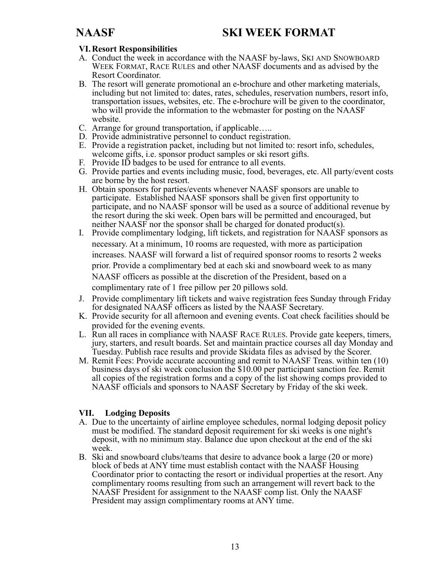## **VI. Resort Responsibilities**

- A. Conduct the week in accordance with the NAASF by-laws, SKI AND SNOWBOARD WEEK FORMAT, RACE RULES and other NAASF documents and as advised by the Resort Coordinator.
- B. The resort will generate promotional an e-brochure and other marketing materials, including but not limited to: dates, rates, schedules, reservation numbers, resort info, transportation issues, websites, etc. The e-brochure will be given to the coordinator, who will provide the information to the webmaster for posting on the NAASF website.
- C. Arrange for ground transportation, if applicable…..
- D. Provide administrative personnel to conduct registration.
- E. Provide a registration packet, including but not limited to: resort info, schedules, welcome gifts, i.e. sponsor product samples or ski resort gifts.
- F. Provide ID badges to be used for entrance to all events.
- G. Provide parties and events including music, food, beverages, etc. All party/event costs are borne by the host resort.
- H. Obtain sponsors for parties/events whenever NAASF sponsors are unable to participate. Established NAASF sponsors shall be given first opportunity to participate, and no NAASF sponsor will be used as a source of additional revenue by the resort during the ski week. Open bars will be permitted and encouraged, but neither NAASF nor the sponsor shall be charged for donated product(s).
- I. Provide complimentary lodging, lift tickets, and registration for NAASF sponsors as necessary. At a minimum, 10 rooms are requested, with more as participation increases. NAASF will forward a list of required sponsor rooms to resorts 2 weeks prior. Provide a complimentary bed at each ski and snowboard week to as many NAASF officers as possible at the discretion of the President, based on a complimentary rate of 1 free pillow per 20 pillows sold.
- J. Provide complimentary lift tickets and waive registration fees Sunday through Friday for designated NAASF officers as listed by the NAASF Secretary.
- K. Provide security for all afternoon and evening events. Coat check facilities should be provided for the evening events.
- L. Run all races in compliance with NAASF RACE RULES. Provide gate keepers, timers, jury, starters, and result boards. Set and maintain practice courses all day Monday and Tuesday. Publish race results and provide Skidata files as advised by the Scorer.
- M. Remit Fees: Provide accurate accounting and remit to NAASF Treas. within ten (10) business days of ski week conclusion the \$10.00 per participant sanction fee. Remit all copies of the registration forms and a copy of the list showing comps provided to NAASF officials and sponsors to NAASF Secretary by Friday of the ski week.

## **VII. Lodging Deposits**

- A. Due to the uncertainty of airline employee schedules, normal lodging deposit policy must be modified. The standard deposit requirement for ski weeks is one night's deposit, with no minimum stay. Balance due upon checkout at the end of the ski week.
- B. Ski and snowboard clubs/teams that desire to advance book a large (20 or more) block of beds at ANY time must establish contact with the NAASF Housing Coordinator prior to contacting the resort or individual properties at the resort. Any complimentary rooms resulting from such an arrangement will revert back to the NAASF President for assignment to the NAASF comp list. Only the NAASF President may assign complimentary rooms at ANY time.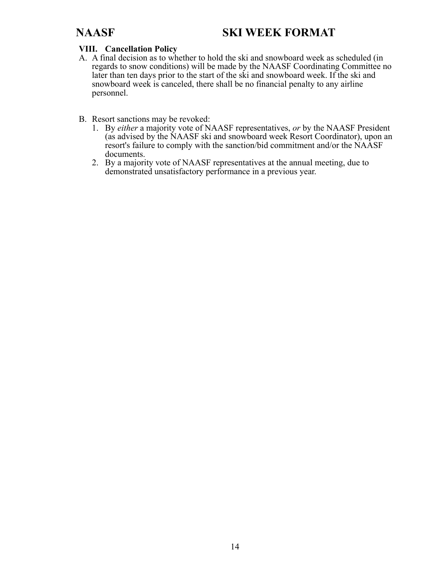## **NAASF SKI WEEK FORMAT**

### **VIII. Cancellation Policy**

- A. A final decision as to whether to hold the ski and snowboard week as scheduled (in regards to snow conditions) will be made by the NAASF Coordinating Committee no later than ten days prior to the start of the ski and snowboard week. If the ski and snowboard week is canceled, there shall be no financial penalty to any airline personnel.
- B. Resort sanctions may be revoked:
	- 1. By *either* a majority vote of NAASF representatives, *or* by the NAASF President (as advised by the NAASF ski and snowboard week Resort Coordinator), upon an resort's failure to comply with the sanction/bid commitment and/or the NAASF documents.
	- 2. By a majority vote of NAASF representatives at the annual meeting, due to demonstrated unsatisfactory performance in a previous year.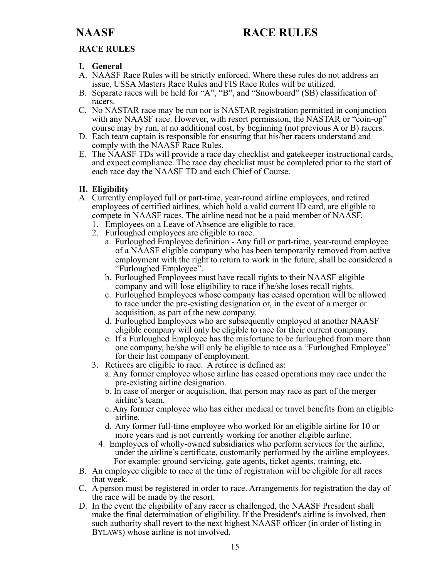### **RACE RULES**

#### **I. General**

- A. NAASF Race Rules will be strictly enforced. Where these rules do not address an issue, USSA Masters Race Rules and FIS Race Rules will be utilized.
- B. Separate races will be held for "A", "B", and "Snowboard" (SB) classification of racers.
- C. No NASTAR race may be run nor is NASTAR registration permitted in conjunction with any NAASF race. However, with resort permission, the NASTAR or "coin-op" course may by run, at no additional cost, by beginning (not previous A or B) racers.
- D. Each team captain is responsible for ensuring that his/her racers understand and comply with the NAASF Race Rules.
- E. The NAASF TDs will provide a race day checklist and gatekeeper instructional cards, and expect compliance. The race day checklist must be completed prior to the start of each race day the NAASF TD and each Chief of Course.

### **II. Eligibility**

- A. Currently employed full or part-time, year-round airline employees, and retired employees of certified airlines, which hold a valid current ID card, are eligible to compete in NAASF races. The airline need not be a paid member of NAASF.
	- 1. Employees on a Leave of Absence are eligible to race.
	- 2. Furloughed employees are eligible to race.
		- a. Furloughed Employee definition Any full or part-time, year-round employee of a NAASF eligible company who has been temporarily removed from active employment with the right to return to work in the future, shall be considered a "Furloughed Employee".
		- b. Furloughed Employees must have recall rights to their NAASF eligible company and will lose eligibility to race if he/she loses recall rights.
		- c. Furloughed Employees whose company has ceased operation will be allowed to race under the pre-existing designation or, in the event of a merger or acquisition, as part of the new company.
		- d. Furloughed Employees who are subsequently employed at another NAASF eligible company will only be eligible to race for their current company.
		- e. If a Furloughed Employee has the misfortune to be furloughed from more than one company, he/she will only be eligible to race as a "Furloughed Employee" for their last company of employment.
	- 3. Retirees are eligible to race. A retiree is defined as:
		- a. Any former employee whose airline has ceased operations may race under the pre-existing airline designation.
		- b. In case of merger or acquisition, that person may race as part of the merger airline's team.
		- c. Any former employee who has either medical or travel benefits from an eligible airline.
		- d. Any former full-time employee who worked for an eligible airline for 10 or more years and is not currently working for another eligible airline.
		- 4. Employees of wholly-owned subsidiaries who perform services for the airline, under the airline's certificate, customarily performed by the airline employees. For example: ground servicing, gate agents, ticket agents, training, etc.
- B. An employee eligible to race at the time of registration will be eligible for all races that week.
- C. A person must be registered in order to race. Arrangements for registration the day of the race will be made by the resort.
- D. In the event the eligibility of any racer is challenged, the NAASF President shall make the final determination of eligibility. If the President's airline is involved, then such authority shall revert to the next highest NAASF officer (in order of listing in BYLAWS) whose airline is not involved.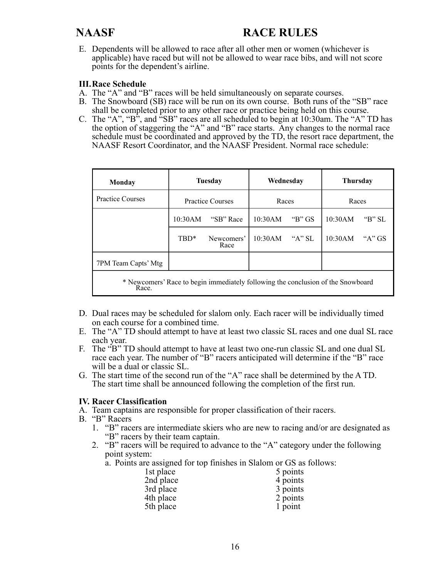E. Dependents will be allowed to race after all other men or women (whichever is applicable) have raced but will not be allowed to wear race bibs, and will not score points for the dependent's airline.

#### **III. Race Schedule**

- A. The "A" and "B" races will be held simultaneously on separate courses.
- B. The Snowboard (SB) race will be run on its own course. Both runs of the "SB" race shall be completed prior to any other race or practice being held on this course.
- C. The "A", "B", and "SB" races are all scheduled to begin at 10:30am. The "A" TD has the option of staggering the "A" and "B" race starts. Any changes to the normal race schedule must be coordinated and approved by the TD, the resort race department, the NAASF Resort Coordinator, and the NAASF President. Normal race schedule:

| Monday                                                                                    | <b>Tuesday</b>          |                    | Wednesdav |          | <b>Thursday</b> |              |
|-------------------------------------------------------------------------------------------|-------------------------|--------------------|-----------|----------|-----------------|--------------|
| <b>Practice Courses</b>                                                                   | <b>Practice Courses</b> |                    | Races     |          | Races           |              |
|                                                                                           | 10:30AM                 | "SB" Race          | 10:30AM   | "B" $GS$ | 10:30AM         | " $B$ " $SL$ |
|                                                                                           | TBD*                    | Newcomers'<br>Race | 10:30AM   | "A" SL   | 10:30AM         | " $A$ " GS   |
| 7PM Team Capts' Mtg                                                                       |                         |                    |           |          |                 |              |
| * Newcomers' Race to begin immediately following the conclusion of the Snowboard<br>Race. |                         |                    |           |          |                 |              |

- D. Dual races may be scheduled for slalom only. Each racer will be individually timed on each course for a combined time.
- E. The "A" TD should attempt to have at least two classic SL races and one dual SL race each year.
- F. The "B" TD should attempt to have at least two one-run classic SL and one dual SL race each year. The number of "B" racers anticipated will determine if the "B" race will be a dual or classic SL.
- G. The start time of the second run of the "A" race shall be determined by the A TD. The start time shall be announced following the completion of the first run.

#### **IV. Racer Classification**

- A. Team captains are responsible for proper classification of their racers.
- B. "B" Racers
	- 1. "B" racers are intermediate skiers who are new to racing and/or are designated as "B" racers by their team captain.
	- 2. "B" racers will be required to advance to the "A" category under the following point system:

a. Points are assigned for top finishes in Slalom or GS as follows:

| 1st place | 5 points |
|-----------|----------|
| 2nd place | 4 points |
| 3rd place | 3 points |
| 4th place | 2 points |
| 5th place | 1 point  |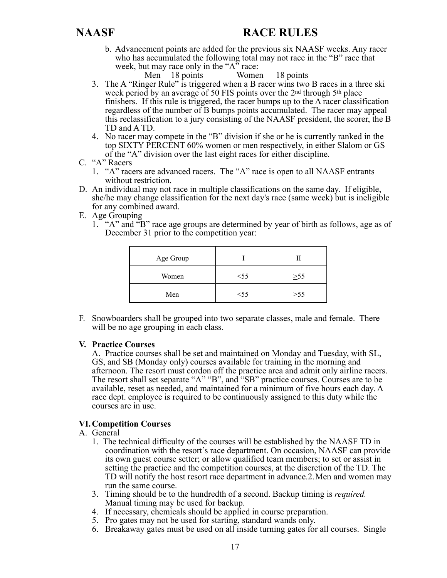b. Advancement points are added for the previous six NAASF weeks. Any racer who has accumulated the following total may not race in the "B" race that week, but may race only in the " $A$ " race:

Men 18 points Women 18 points

- 3. The A "Ringer Rule" is triggered when a B racer wins two B races in a three ski week period by an average of 50 FIS points over the 2<sup>nd</sup> through 5<sup>th</sup> place finishers. If this rule is triggered, the racer bumps up to the A racer classification regardless of the number of B bumps points accumulated. The racer may appeal this reclassification to a jury consisting of the NAASF president, the scorer, the B TD and A TD.
- 4. No racer may compete in the "B" division if she or he is currently ranked in the top SIXTY PERCENT 60% women or men respectively, in either Slalom or GS of the "A" division over the last eight races for either discipline.
- C. "A" Racers
	- 1. "A" racers are advanced racers. The "A" race is open to all NAASF entrants without restriction.
- D. An individual may not race in multiple classifications on the same day. If eligible, she/he may change classification for the next day's race (same week) but is ineligible for any combined award.
- E. Age Grouping
	- 1. "A" and "B" race age groups are determined by year of birth as follows, age as of December 31 prior to the competition year:

| Age Group |        |           |
|-----------|--------|-----------|
| Women     | $<$ 55 | $\geq 55$ |
| Men       | $<$ 55 | >55       |

F. Snowboarders shall be grouped into two separate classes, male and female. There will be no age grouping in each class.

### **V. Practice Courses**

 A. Practice courses shall be set and maintained on Monday and Tuesday, with SL, GS, and SB (Monday only) courses available for training in the morning and afternoon. The resort must cordon off the practice area and admit only airline racers. The resort shall set separate "A" "B", and "SB" practice courses. Courses are to be available, reset as needed, and maintained for a minimum of five hours each day. A race dept. employee is required to be continuously assigned to this duty while the courses are in use.

### **VI. Competition Courses**

### A. General

- 1. The technical difficulty of the courses will be established by the NAASF TD in coordination with the resort's race department. On occasion, NAASF can provide its own guest course setter; or allow qualified team members; to set or assist in setting the practice and the competition courses, at the discretion of the TD. The TD will notify the host resort race department in advance.2. Men and women may run the same course.
- 3. Timing should be to the hundredth of a second. Backup timing is *required.* Manual timing may be used for backup.
- 4. If necessary, chemicals should be applied in course preparation.
- 5. Pro gates may not be used for starting, standard wands only.
- 6. Breakaway gates must be used on all inside turning gates for all courses. Single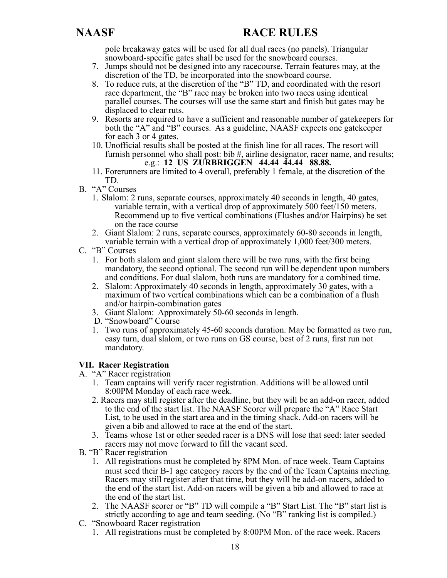pole breakaway gates will be used for all dual races (no panels). Triangular snowboard-specific gates shall be used for the snowboard courses.

- 7. Jumps should not be designed into any racecourse. Terrain features may, at the discretion of the TD, be incorporated into the snowboard course.
- 8. To reduce ruts, at the discretion of the "B" TD, and coordinated with the resort race department, the "B" race may be broken into two races using identical parallel courses. The courses will use the same start and finish but gates may be displaced to clear ruts.
- 9. Resorts are required to have a sufficient and reasonable number of gatekeepers for both the "A" and "B" courses. As a guideline, NAASF expects one gatekeeper for each 3 or 4 gates.
- 10. Unofficial results shall be posted at the finish line for all races. The resort will furnish personnel who shall post: bib #, airline designator, racer name, and results; e.g.: **12 US ZURBRIGGEN 44.44 44.44 88.88.**
- 11. Forerunners are limited to 4 overall, preferably 1 female, at the discretion of the TD.
- B. "A" Courses
	- 1. Slalom: 2 runs, separate courses, approximately 40 seconds in length, 40 gates, variable terrain, with a vertical drop of approximately 500 feet/150 meters. Recommend up to five vertical combinations (Flushes and/or Hairpins) be set on the race course
	- 2. Giant Slalom: 2 runs, separate courses, approximately 60-80 seconds in length, variable terrain with a vertical drop of approximately 1,000 feet/300 meters.
- C. "B" Courses
	- 1. For both slalom and giant slalom there will be two runs, with the first being mandatory, the second optional. The second run will be dependent upon numbers and conditions. For dual slalom, both runs are mandatory for a combined time.
	- 2. Slalom: Approximately 40 seconds in length, approximately 30 gates, with a maximum of two vertical combinations which can be a combination of a flush and/or hairpin-combination gates
	- 3. Giant Slalom: Approximately 50-60 seconds in length.
	- D. "Snowboard" Course
	- 1. Two runs of approximately 45-60 seconds duration. May be formatted as two run, easy turn, dual slalom, or two runs on GS course, best of 2 runs, first run not mandatory.

### **VII. Racer Registration**

- A. "A" Racer registration
	- 1. Team captains will verify racer registration. Additions will be allowed until 8:00PM Monday of each race week.
	- 2. Racers may still register after the deadline, but they will be an add-on racer, added to the end of the start list. The NAASF Scorer will prepare the "A" Race Start List, to be used in the start area and in the timing shack. Add-on racers will be given a bib and allowed to race at the end of the start.
	- 3. Teams whose 1st or other seeded racer is a DNS will lose that seed: later seeded racers may not move forward to fill the vacant seed.
- B. "B" Racer registration
	- 1. All registrations must be completed by 8PM Mon. of race week. Team Captains must seed their B-1 age category racers by the end of the Team Captains meeting. Racers may still register after that time, but they will be add-on racers, added to the end of the start list. Add-on racers will be given a bib and allowed to race at the end of the start list.
	- 2. The NAASF scorer or "B" TD will compile a "B" Start List. The "B" start list is strictly according to age and team seeding. (No "B" ranking list is compiled.)
- C. "Snowboard Racer registration
	- 1. All registrations must be completed by 8:00PM Mon. of the race week. Racers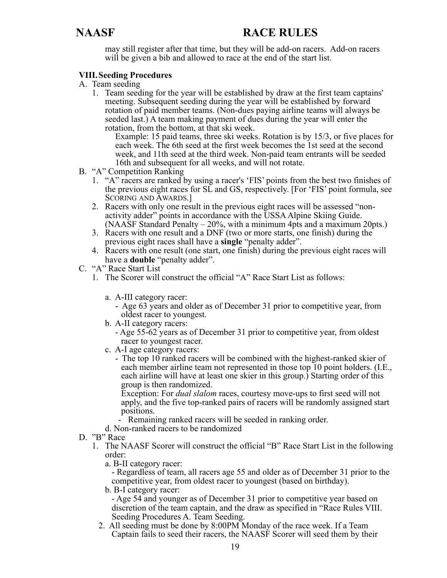may still register after that time, but they will be add-on racers. Add-on racers will be given a bib and allowed to race at the end of the start list.

### **VIII. Seeding Procedures**

- A. Team seeding
	- 1. Team seeding for the year will be established by draw at the first team captains' meeting. Subsequent seeding during the year will be established by forward rotation of paid member teams. (Non-dues paying airline teams will always be seeded last.) A team making payment of dues during the year will enter the rotation, from the bottom, at that ski week.

Example: 15 paid teams, three ski weeks. Rotation is by 15/3, or five places for each week. The 6th seed at the first week becomes the 1st seed at the second week, and 11th seed at the third week. Non-paid team entrants will be seeded 16th and subsequent for all weeks, and will not rotate.

- B. "A" Competition Ranking
	- 1. "A" racers are ranked by using a racer's 'FIS' points from the best two finishes of the previous eight races for SL and GS, respectively. [For 'FIS' point formula, see SCORING AND AWARDS.]
	- 2. Racers with only one result in the previous eight races will be assessed "nonactivity adder" points in accordance with the USSA Alpine Skiing Guide. (NAASF Standard Penalty – 20%, with a minimum 4pts and a maximum 20pts.)
	- 3. Racers with one result and a DNF (two or more starts, one finish) during the previous eight races shall have a **single** "penalty adder".
	- 4. Racers with one result (one start, one finish) during the previous eight races will have a **double** "penalty adder".
- C. "A" Race Start List
	- 1. The Scorer will construct the official "A" Race Start List as follows:
		- a. A-III category racer:
			- Age 63 years and older as of December 31 prior to competitive year, from oldest racer to youngest.
		- b. A-II category racers:
			- Age 55-62 years as of December 31 prior to competitive year, from oldest racer to youngest racer.
		- c. A-I age category racers:
			- The top 10 ranked racers will be combined with the highest-ranked skier of each member airline team not represented in those top 10 point holders. (I.E., each airline will have at least one skier in this group.) Starting order of this group is then randomized.

Exception: For *dual slalom* races, courtesy move-ups to first seed will not apply, and the five top-ranked pairs of racers will be randomly assigned start positions.

- Remaining ranked racers will be seeded in ranking order.
- d. Non-ranked racers to be randomized
- D. "B" Race
	- 1. The NAASF Scorer will construct the official "B" Race Start List in the following order:
		- a. B-II category racer:

 - Regardless of team, all racers age 55 and older as of December 31 prior to the competitive year, from oldest racer to youngest (based on birthday).

b. B-I category racer:

 - Age 54 and younger as of December 31 prior to competitive year based on discretion of the team captain, and the draw as specified in "Race Rules VIII. Seeding Procedures A. Team Seeding.

2. All seeding must be done by 8:00PM Monday of the race week. If a Team Captain fails to seed their racers, the NAASF Scorer will seed them by their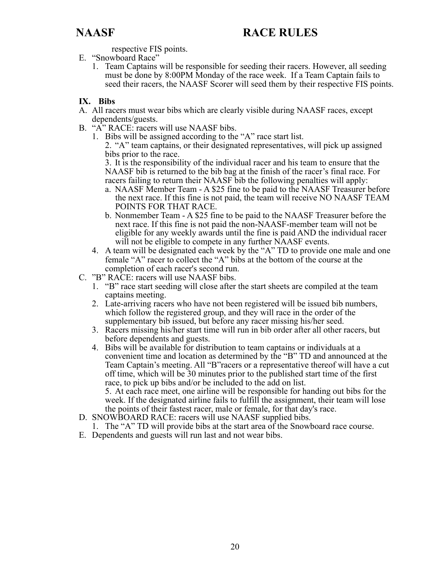respective FIS points.

- E. "Snowboard Race"
	- 1. Team Captains will be responsible for seeding their racers. However, all seeding must be done by 8:00PM Monday of the race week. If a Team Captain fails to seed their racers, the NAASF Scorer will seed them by their respective FIS points.

### **IX. Bibs**

- A. All racers must wear bibs which are clearly visible during NAASF races, except dependents/guests.
- B. "A" RACE: racers will use NAASF bibs.
	- 1. Bibs will be assigned according to the "A" race start list. 2. "A" team captains, or their designated representatives, will pick up assigned bibs prior to the race.

 3. It is the responsibility of the individual racer and his team to ensure that the NAASF bib is returned to the bib bag at the finish of the racer's final race. For racers failing to return their NAASF bib the following penalties will apply:

- a. NAASF Member Team A \$25 fine to be paid to the NAASF Treasurer before the next race. If this fine is not paid, the team will receive NO NAASF TEAM POINTS FOR THAT RACE.
- b. Nonmember Team A \$25 fine to be paid to the NAASF Treasurer before the next race. If this fine is not paid the non-NAASF-member team will not be eligible for any weekly awards until the fine is paid AND the individual racer will not be eligible to compete in any further NAASF events.
- 4. A team will be designated each week by the "A" TD to provide one male and one female "A" racer to collect the "A" bibs at the bottom of the course at the completion of each racer's second run.
- C. "B" RACE: racers will use NAASF bibs.
	- 1. "B" race start seeding will close after the start sheets are compiled at the team captains meeting.
	- 2. Late-arriving racers who have not been registered will be issued bib numbers, which follow the registered group, and they will race in the order of the supplementary bib issued, but before any racer missing his/her seed.
	- 3. Racers missing his/her start time will run in bib order after all other racers, but before dependents and guests.
	- 4. Bibs will be available for distribution to team captains or individuals at a convenient time and location as determined by the "B" TD and announced at the Team Captain's meeting. All "B"racers or a representative thereof will have a cut off time, which will be 30 minutes prior to the published start time of the first race, to pick up bibs and/or be included to the add on list.

 5. At each race meet, one airline will be responsible for handing out bibs for the week. If the designated airline fails to fulfill the assignment, their team will lose the points of their fastest racer, male or female, for that day's race.

- D. SNOWBOARD RACE: racers will use NAASF supplied bibs.
	- 1. The "A" TD will provide bibs at the start area of the Snowboard race course.
- E. Dependents and guests will run last and not wear bibs.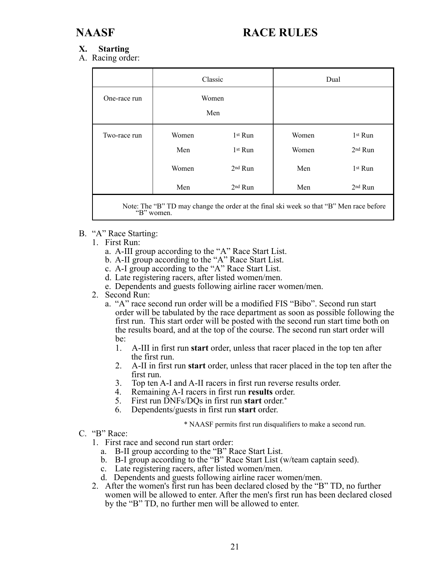#### **X. Starting**

A. Racing order:

|              | Classic                      |                                                                                |                              | Dual                                                                                     |
|--------------|------------------------------|--------------------------------------------------------------------------------|------------------------------|------------------------------------------------------------------------------------------|
| One-race run | Women                        | Men                                                                            |                              |                                                                                          |
| Two-race run | Women<br>Men<br>Women<br>Men | 1 <sup>st</sup> Run<br>1 <sup>st</sup> Run<br>$2nd$ Run<br>2 <sup>nd</sup> Run | Women<br>Women<br>Men<br>Men | 1 <sup>st</sup> Run<br>2 <sup>nd</sup> Run<br>1 <sup>st</sup> Run<br>2 <sup>nd</sup> Run |

Note: The "B" TD may change the order at the final ski week so that "B" Men race before "B" women.

- B. "A" Race Starting:
	- 1. First Run:
		- a. A-III group according to the "A" Race Start List.
		- b. A-II group according to the "A" Race Start List.
		- c. A-I group according to the "A" Race Start List.
		- d. Late registering racers, after listed women/men.
		- e. Dependents and guests following airline racer women/men.
	- 2. Second Run:
		- a. "A" race second run order will be a modified FIS "Bibo". Second run start order will be tabulated by the race department as soon as possible following the first run. This start order will be posted with the second run start time both on the results board, and at the top of the course. The second run start order will be:
			- 1. A-III in first run **start** order, unless that racer placed in the top ten after the first run.
			- 2. A-II in first run **start** order, unless that racer placed in the top ten after the first run.
			- 3. Top ten A-I and A-II racers in first run reverse results order.
			- 4. Remaining A-I racers in first run **results** order.
			- 5. First run DNFs/DQs in first run **start** order.\*
			- 6. Dependents/guests in first run **start** order.

#### \* NAASF permits first run disqualifiers to make a second run.

- C. "B" Race:
	- 1. First race and second run start order:
		- a. B-II group according to the "B" Race Start List.
		- b. B-I group according to the "B" Race Start List (w/team captain seed).
		- c. Late registering racers, after listed women/men.
		- d. Dependents and guests following airline racer women/men.
	- 2. After the women's first run has been declared closed by the "B" TD, no further women will be allowed to enter. After the men's first run has been declared closed by the "B" TD, no further men will be allowed to enter.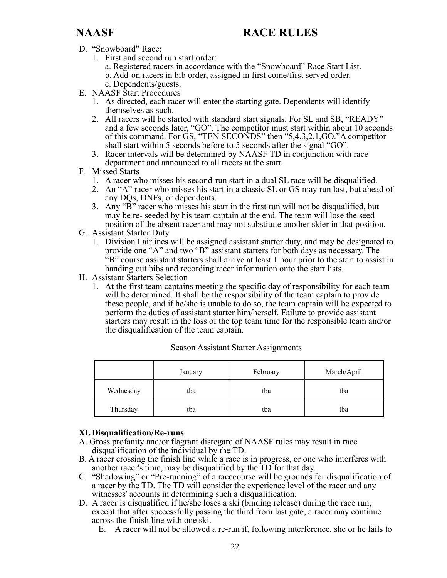- D. "Snowboard" Race:
	- 1. First and second run start order:
		- a. Registered racers in accordance with the "Snowboard" Race Start List.
		- b. Add-on racers in bib order, assigned in first come/first served order.
- c. Dependents/guests.
- E. NAASF Start Procedures
	- 1. As directed, each racer will enter the starting gate. Dependents will identify themselves as such.
	- 2. All racers will be started with standard start signals. For SL and SB, "READY" and a few seconds later, "GO". The competitor must start within about 10 seconds of this command. For GS, "TEN SECONDS" then "5,4,3,2,1,GO."A competitor shall start within 5 seconds before to 5 seconds after the signal "GO".
	- 3. Racer intervals will be determined by NAASF TD in conjunction with race department and announced to all racers at the start.
- F. Missed Starts
	- 1. A racer who misses his second-run start in a dual SL race will be disqualified.
	- 2. An "A" racer who misses his start in a classic SL or GS may run last, but ahead of any DQs, DNFs, or dependents.
	- 3. Any "B" racer who misses his start in the first run will not be disqualified, but may be re- seeded by his team captain at the end. The team will lose the seed position of the absent racer and may not substitute another skier in that position.
- G. Assistant Starter Duty
	- 1. Division I airlines will be assigned assistant starter duty, and may be designated to provide one "A" and two "B" assistant starters for both days as necessary. The "B" course assistant starters shall arrive at least 1 hour prior to the start to assist in handing out bibs and recording racer information onto the start lists.
- H. Assistant Starters Selection
	- 1. At the first team captains meeting the specific day of responsibility for each team will be determined. It shall be the responsibility of the team captain to provide these people, and if he/she is unable to do so, the team captain will be expected to perform the duties of assistant starter him/herself. Failure to provide assistant starters may result in the loss of the top team time for the responsible team and/or the disqualification of the team captain.

|           | January | February | March/April |
|-----------|---------|----------|-------------|
| Wednesday | tba     | tba      | tba         |
| Thursday  | tba     | tba      | tba         |

Season Assistant Starter Assignments

#### **XI. Disqualification/Re-runs**

- A. Gross profanity and/or flagrant disregard of NAASF rules may result in race disqualification of the individual by the TD.
- B. A racer crossing the finish line while a race is in progress, or one who interferes with another racer's time, may be disqualified by the TD for that day.
- C. "Shadowing" or "Pre-running" of a racecourse will be grounds for disqualification of a racer by the TD. The TD will consider the experience level of the racer and any witnesses' accounts in determining such a disqualification.
- D. A racer is disqualified if he/she loses a ski (binding release) during the race run, except that after successfully passing the third from last gate, a racer may continue across the finish line with one ski.
	- E. A racer will not be allowed a re-run if, following interference, she or he fails to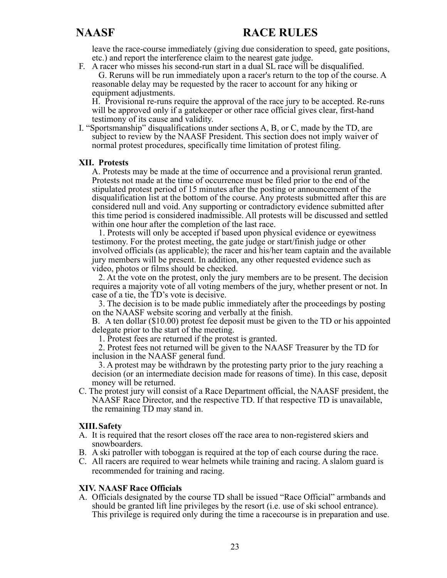leave the race-course immediately (giving due consideration to speed, gate positions, etc.) and report the interference claim to the nearest gate judge.

F. A racer who misses his second-run start in a dual SL race will be disqualified. G. Reruns will be run immediately upon a racer's return to the top of the course. A reasonable delay may be requested by the racer to account for any hiking or equipment adjustments.

 H. Provisional re-runs require the approval of the race jury to be accepted. Re-runs will be approved only if a gatekeeper or other race official gives clear, first-hand testimony of its cause and validity.

I. "Sportsmanship" disqualifications under sections A, B, or C, made by the TD, are subject to review by the NAASF President. This section does not imply waiver of normal protest procedures, specifically time limitation of protest filing.

#### **XII. Protests**

 A. Protests may be made at the time of occurrence and a provisional rerun granted. Protests not made at the time of occurrence must be filed prior to the end of the stipulated protest period of 15 minutes after the posting or announcement of the disqualification list at the bottom of the course. Any protests submitted after this are considered null and void. Any supporting or contradictory evidence submitted after this time period is considered inadmissible. All protests will be discussed and settled within one hour after the completion of the last race.

 1. Protests will only be accepted if based upon physical evidence or eyewitness testimony. For the protest meeting, the gate judge or start/finish judge or other involved officials (as applicable); the racer and his/her team captain and the available jury members will be present. In addition, any other requested evidence such as video, photos or films should be checked.

 2. At the vote on the protest, only the jury members are to be present. The decision requires a majority vote of all voting members of the jury, whether present or not. In case of a tie, the TD's vote is decisive.

 3. The decision is to be made public immediately after the proceedings by posting on the NAASF website scoring and verbally at the finish.

 B. A ten dollar (\$10.00) protest fee deposit must be given to the TD or his appointed delegate prior to the start of the meeting.

1. Protest fees are returned if the protest is granted.

 2. Protest fees not returned will be given to the NAASF Treasurer by the TD for inclusion in the NAASF general fund.

 3. A protest may be withdrawn by the protesting party prior to the jury reaching a decision (or an intermediate decision made for reasons of time). In this case, deposit money will be returned.

C. The protest jury will consist of a Race Department official, the NAASF president, the NAASF Race Director, and the respective TD. If that respective TD is unavailable, the remaining TD may stand in.

#### **XIII. Safety**

- A. It is required that the resort closes off the race area to non-registered skiers and snowboarders.
- B. A ski patroller with toboggan is required at the top of each course during the race.
- C. All racers are required to wear helmets while training and racing. A slalom guard is recommended for training and racing.

#### **XIV. NAASF Race Officials**

A. Officials designated by the course TD shall be issued "Race Official" armbands and should be granted lift line privileges by the resort (i.e. use of ski school entrance). This privilege is required only during the time a racecourse is in preparation and use.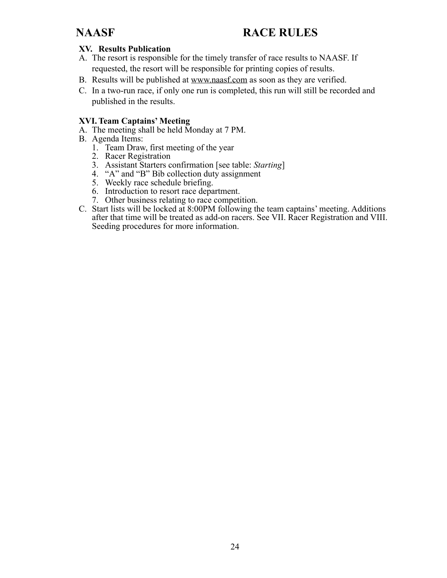### **XV. Results Publication**

- A. The resort is responsible for the timely transfer of race results to NAASF. If requested, the resort will be responsible for printing copies of results.
- B. Results will be published at [www.naasf.com](http://www.naasf.com) as soon as they are verified.
- C. In a two-run race, if only one run is completed, this run will still be recorded and published in the results.

#### **XVI. Team Captains' Meeting**

- A. The meeting shall be held Monday at 7 PM.
- B. Agenda Items:
	- 1. Team Draw, first meeting of the year
	- 2. Racer Registration
	- 3. Assistant Starters confirmation [see table: *Starting*]
	- 4. "A" and "B" Bib collection duty assignment
	- 5. Weekly race schedule briefing.
	- 6. Introduction to resort race department.
	- 7. Other business relating to race competition.
- C. Start lists will be locked at 8:00PM following the team captains' meeting. Additions after that time will be treated as add-on racers. See VII. Racer Registration and VIII. Seeding procedures for more information.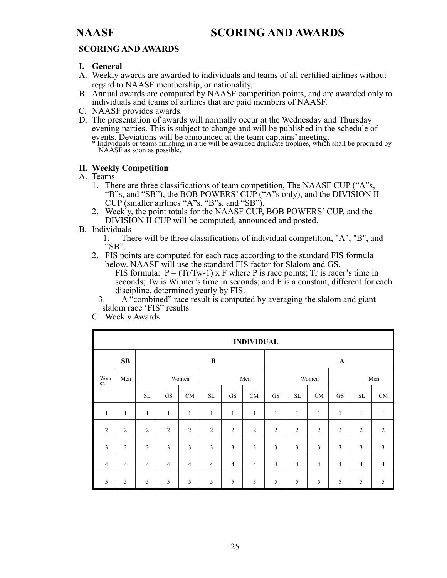## **NAASF SCORING AND AWARDS**

### **SCORING AND AWARDS**

#### **I. General**

- A. Weekly awards are awarded to individuals and teams of all certified airlines without regard to NAASF membership, or nationality.
- B. Annual awards are computed by NAASF competition points, and are awarded only to individuals and teams of airlines that are paid members of NAASF.
- C. NAASF provides awards.
- D. The presentation of awards will normally occur at the Wednesday and Thursday evening parties. This is subject to change and will be published in the schedule of events. Deviations will be announced at the team captains' meeting. \* Individuals or teams finishing in a tie will be awarded duplicate trophies, which shall be procured by

NAASF as soon as possible.

#### **II. Weekly Competition**

- A. Teams
	- 1. There are three classifications of team competition, The NAASF CUP ("A"s, "B"s, and "SB"), the BOB POWERS' CUP ("A"s only), and the DIVISION II CUP (smaller airlines "A"s, "B"s, and "SB").
	- 2. Weekly, the point totals for the NAASF CUP, BOB POWERS' CUP, and the DIVISION II CUP will be computed, announced and posted.
- B. Individuals<br>1. The
	- There will be three classifications of individual competition, "A", "B", and "SB".
	- 2. FIS points are computed for each race according to the standard FIS formula below. NAASF will use the standard FIS factor for Slalom and GS.

FIS formula:  $P = (Tr/Tw-1)$  x F where P is race points; Tr is racer's time in seconds; Tw is Winner's time in seconds; and F is a constant, different for each discipline, determined yearly by FIS.

- 3. A "combined" race result is computed by averaging the slalom and giant slalom race 'FIS" results.
- C. Weekly Awards

|                | <b>INDIVIDUAL</b> |                |                |                |                |                |                |                |                |                |                |                |                |
|----------------|-------------------|----------------|----------------|----------------|----------------|----------------|----------------|----------------|----------------|----------------|----------------|----------------|----------------|
|                | SB                |                |                |                | $\bf{B}$       |                |                |                |                |                | $\mathbf A$    |                |                |
| Wom<br>en      | Men               |                |                | Women          |                |                | Men            |                |                | Women          |                |                | Men            |
|                |                   | <b>SL</b>      | <b>GS</b>      | CM             | SL             | <b>GS</b>      | CM             | ${\rm GS}$     | <b>SL</b>      | CM             | GS             | <b>SL</b>      | CM             |
| $\mathbf{1}$   | $\mathbf{1}$      | 1              | 1              | $\mathbf{1}$   | 1              | 1              | $\mathbf{1}$   | 1              | $\mathbf{1}$   | $\mathbf{1}$   | $\mathbf{1}$   | $\mathbf{1}$   | $\mathbf{1}$   |
| $\overline{2}$ | $\overline{2}$    | $\overline{2}$ | $\overline{2}$ | $\overline{2}$ | $\overline{2}$ | 2              | $\overline{2}$ | $\overline{2}$ | 2              | $\overline{2}$ | $\overline{2}$ | $\overline{2}$ | 2              |
| $\mathfrak{Z}$ | $\overline{3}$    | 3              | $\overline{3}$ | $\overline{3}$ | 3              | $\overline{3}$ | $\mathfrak{Z}$ | $\overline{3}$ | $\overline{3}$ | $\overline{3}$ | 3              | 3              | $\overline{3}$ |
| $\overline{4}$ | $\overline{4}$    | $\overline{4}$ | $\overline{4}$ | $\overline{4}$ | $\overline{4}$ | $\overline{4}$ | $\overline{4}$ | $\overline{4}$ | $\overline{4}$ | $\overline{4}$ | $\overline{4}$ | $\overline{4}$ | $\overline{4}$ |
| 5              | 5                 | 5              | 5              | 5              | 5              | 5              | 5              | 5              | 5              | 5              | 5              | 5              | 5              |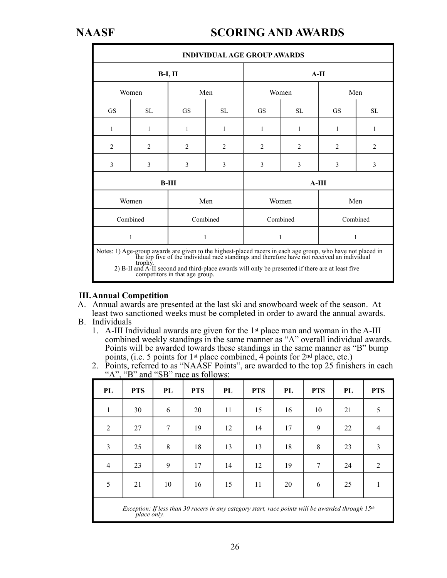## **NAASF SCORING AND AWARDS**

| <b>INDIVIDUAL AGE GROUP AWARDS</b>                                                                                                                                                                                                                                                                                                                       |           |                |                |                |          |                |           |  |
|----------------------------------------------------------------------------------------------------------------------------------------------------------------------------------------------------------------------------------------------------------------------------------------------------------------------------------------------------------|-----------|----------------|----------------|----------------|----------|----------------|-----------|--|
|                                                                                                                                                                                                                                                                                                                                                          |           | $B-I, II$      |                |                |          | $A-II$         |           |  |
|                                                                                                                                                                                                                                                                                                                                                          | Women     |                | Men            |                | Women    |                | Men       |  |
| <b>GS</b>                                                                                                                                                                                                                                                                                                                                                | <b>SL</b> | <b>GS</b>      | SL.            | <b>GS</b>      | SL       | <b>GS</b>      | <b>SL</b> |  |
| 1                                                                                                                                                                                                                                                                                                                                                        | 1         | 1              | 1              | 1              | 1        | 1              | 1         |  |
| $\overline{2}$                                                                                                                                                                                                                                                                                                                                           | 2         | $\overline{2}$ | $\overline{2}$ | $\overline{c}$ | 2        | $\overline{2}$ | 2         |  |
| 3                                                                                                                                                                                                                                                                                                                                                        | 3         | 3              | 3              | 3              | 3        | 3              | 3         |  |
|                                                                                                                                                                                                                                                                                                                                                          |           | $B-III$        |                | $A-III$        |          |                |           |  |
|                                                                                                                                                                                                                                                                                                                                                          | Women     |                | Men            |                | Women    | Men            |           |  |
|                                                                                                                                                                                                                                                                                                                                                          | Combined  |                | Combined       |                | Combined |                | Combined  |  |
|                                                                                                                                                                                                                                                                                                                                                          | 1         | 1              |                | 1              |          | $\mathbf{1}$   |           |  |
| Notes: 1) Age-group awards are given to the highest-placed racers in each age group, who have not placed in the top five of the individual race standings and therefore have not received an individual<br>trophy.<br>2) B-II and A-II second and third-place awards will only be presented if there are at least five<br>competitors in that age group. |           |                |                |                |          |                |           |  |

### **III. Annual Competition**

- A. Annual awards are presented at the last ski and snowboard week of the season. At least two sanctioned weeks must be completed in order to award the annual awards.
- B. Individuals
	- 1. A-III Individual awards are given for the 1st place man and woman in the A-III combined weekly standings in the same manner as "A" overall individual awards. Points will be awarded towards these standings in the same manner as "B" bump points, (i.e. 5 points for 1st place combined, 4 points for 2nd place, etc.)
	- 2. Points, referred to as "NAASF Points", are awarded to the top 25 finishers in each " $A$ ", " $B$ " and " $SB$ " race as follows:

| PL             | <b>PTS</b>                                                                                                      | PL             | <b>PTS</b> | PL | <b>PTS</b> | PL | <b>PTS</b> | PL | <b>PTS</b>     |
|----------------|-----------------------------------------------------------------------------------------------------------------|----------------|------------|----|------------|----|------------|----|----------------|
| 1              | 30                                                                                                              | 6              | 20         | 11 | 15         | 16 | 10         | 21 | 5              |
| 2              | 27                                                                                                              | $\overline{7}$ | 19         | 12 | 14         | 17 | 9          | 22 | $\overline{4}$ |
| 3              | 25                                                                                                              | 8              | 18         | 13 | 13         | 18 | 8          | 23 | 3              |
| $\overline{4}$ | 23                                                                                                              | 9              | 17         | 14 | 12         | 19 | 7          | 24 | 2              |
| 5              | 21                                                                                                              | 10             | 16         | 15 | 11         | 20 | 6          | 25 | 1              |
|                | Exception: If less than 30 racers in any category start, race points will be awarded through $15th$ place only. |                |            |    |            |    |            |    |                |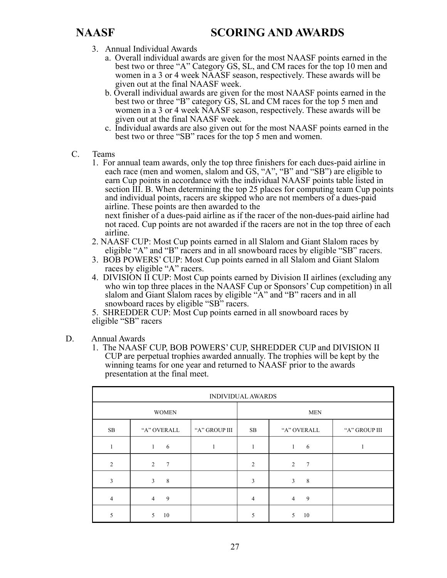- 3. Annual Individual Awards
	- a. Overall individual awards are given for the most NAASF points earned in the best two or three "A" Category GS, SL, and CM races for the top 10 men and women in a 3 or 4 week NAASF season, respectively. These awards will be given out at the final NAASF week.
	- b. Overall individual awards are given for the most NAASF points earned in the best two or three "B" category GS, SL and CM races for the top 5 men and women in a 3 or 4 week NAASF season, respectively. These awards will be given out at the final NAASF week.
	- c. Individual awards are also given out for the most NAASF points earned in the best two or three "SB" races for the top 5 men and women.
- C. Teams
	- 1. For annual team awards, only the top three finishers for each dues-paid airline in each race (men and women, slalom and GS, "A", "B" and "SB") are eligible to earn Cup points in accordance with the individual NAASF points table listed in section III. B. When determining the top 25 places for computing team Cup points and individual points, racers are skipped who are not members of a dues-paid airline. These points are then awarded to the

 next finisher of a dues-paid airline as if the racer of the non-dues-paid airline had not raced. Cup points are not awarded if the racers are not in the top three of each airline.

- 2. NAASF CUP: Most Cup points earned in all Slalom and Giant Slalom races by eligible "A" and "B" racers and in all snowboard races by eligible "SB" racers.
- 3. BOB POWERS' CUP: Most Cup points earned in all Slalom and Giant Slalom races by eligible "A" racers.
- 4. DIVISION II CUP: Most Cup points earned by Division II airlines (excluding any who win top three places in the NAASF Cup or Sponsors' Cup competition) in all slalom and Giant Slalom races by eligible "A" and "B" racers and in all snowboard races by eligible "SB" racers.

5. SHREDDER CUP: Most Cup points earned in all snowboard races by eligible "SB" racers

- D. Annual Awards
	- 1. The NAASF CUP, BOB POWERS' CUP, SHREDDER CUP and DIVISION II CUP are perpetual trophies awarded annually. The trophies will be kept by the winning teams for one year and returned to NAASF prior to the awards presentation at the final meet.

| <b>INDIVIDUAL AWARDS</b> |                      |               |                |                      |               |  |  |
|--------------------------|----------------------|---------------|----------------|----------------------|---------------|--|--|
| <b>WOMEN</b>             |                      |               |                | <b>MEN</b>           |               |  |  |
| $\rm SB$                 | "A" OVERALL          | "A" GROUP III | SB             | "A" OVERALL          | "A" GROUP III |  |  |
| 1                        | 6<br>1               |               | 1              | 6<br>1               |               |  |  |
| 2                        | $7\phantom{.0}$<br>2 |               | $\overline{2}$ | 2<br>$7\phantom{.0}$ |               |  |  |
| $\overline{3}$           | 8<br>3               |               | 3              | 3<br>8               |               |  |  |
| $\overline{4}$           | 9<br>$\overline{4}$  |               | 4              | 9<br>$\overline{4}$  |               |  |  |
| 5                        | 10<br>5              |               | 5              | 10<br>5              |               |  |  |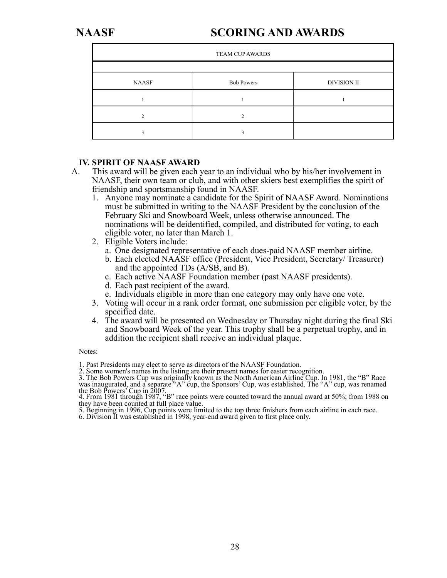## **NAASF SCORING AND AWARDS**

| <b>TEAM CUP AWARDS</b> |                   |                    |  |  |  |  |
|------------------------|-------------------|--------------------|--|--|--|--|
|                        |                   |                    |  |  |  |  |
| <b>NAASF</b>           | <b>Bob Powers</b> | <b>DIVISION II</b> |  |  |  |  |
|                        |                   |                    |  |  |  |  |
|                        |                   |                    |  |  |  |  |
|                        |                   |                    |  |  |  |  |

#### **IV. SPIRIT OF NAASF AWARD**

- A. This award will be given each year to an individual who by his/her involvement in NAASF, their own team or club, and with other skiers best exemplifies the spirit of friendship and sportsmanship found in NAASF.
	- 1. Anyone may nominate a candidate for the Spirit of NAASF Award. Nominations must be submitted in writing to the NAASF President by the conclusion of the February Ski and Snowboard Week, unless otherwise announced. The nominations will be deidentified, compiled, and distributed for voting, to each eligible voter, no later than March 1.
	- 2. Eligible Voters include:
		- a. One designated representative of each dues-paid NAASF member airline.
		- b. Each elected NAASF office (President, Vice President, Secretary/ Treasurer) and the appointed TDs (A/SB, and B).
		- c. Each active NAASF Foundation member (past NAASF presidents).
		- d. Each past recipient of the award.
		- e. Individuals eligible in more than one category may only have one vote.
	- 3. Voting will occur in a rank order format, one submission per eligible voter, by the specified date.
	- 4. The award will be presented on Wednesday or Thursday night during the final Ski and Snowboard Week of the year. This trophy shall be a perpetual trophy, and in addition the recipient shall receive an individual plaque.

#### Notes:

1. Past Presidents may elect to serve as directors of the NAASF Foundation.

2. Some women's names in the listing are their present names for easier recognition.

3. The Bob Powers Cup was originally known as the North American Airline Cup. In 1981, the "B" Race was inaugurated, and a separate "A" cup, the Sponsors' Cup, was established. The "A" cup, was renamed the Bob Powers' Cup in 2007. 4. From 1981 through 1987, "B" race points were counted toward the annual award at 50%; from 1988 on

they have been counted at full place value.

5. Beginning in 1996, Cup points were limited to the top three finishers from each airline in each race.

6. Division II was established in 1998, year-end award given to first place only.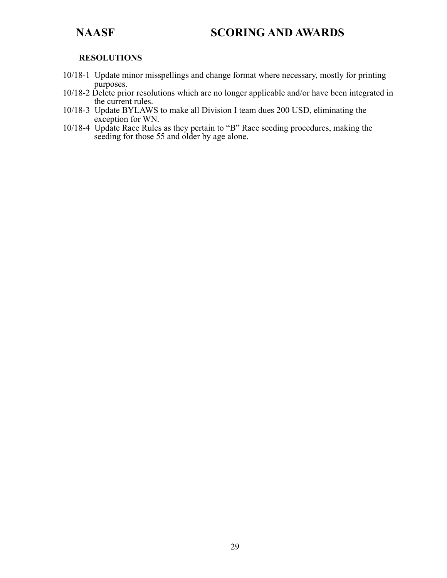## **NAASF SCORING AND AWARDS**

#### **RESOLUTIONS**

- 10/18-1 Update minor misspellings and change format where necessary, mostly for printing purposes.
- 10/18-2 Delete prior resolutions which are no longer applicable and/or have been integrated in the current rules.
- 10/18-3 Update BYLAWS to make all Division I team dues 200 USD, eliminating the exception for WN.
- 10/18-4 Update Race Rules as they pertain to "B" Race seeding procedures, making the seeding for those 55 and older by age alone.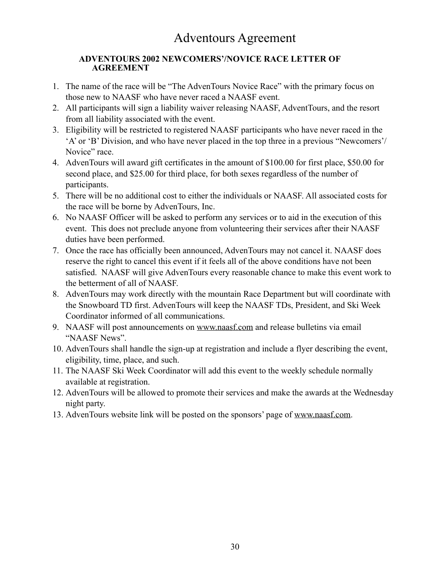### **ADVENTOURS 2002 NEWCOMERS'/NOVICE RACE LETTER OF AGREEMENT**

- 1. The name of the race will be "The AdvenTours Novice Race" with the primary focus on those new to NAASF who have never raced a NAASF event.
- 2. All participants will sign a liability waiver releasing NAASF, AdventTours, and the resort from all liability associated with the event.
- 3. Eligibility will be restricted to registered NAASF participants who have never raced in the 'A' or 'B' Division, and who have never placed in the top three in a previous "Newcomers'/ Novice" race.
- 4. AdvenTours will award gift certificates in the amount of \$100.00 for first place, \$50.00 for second place, and \$25.00 for third place, for both sexes regardless of the number of participants.
- 5. There will be no additional cost to either the individuals or NAASF. All associated costs for the race will be borne by AdvenTours, Inc.
- 6. No NAASF Officer will be asked to perform any services or to aid in the execution of this event. This does not preclude anyone from volunteering their services after their NAASF duties have been performed.
- 7. Once the race has officially been announced, AdvenTours may not cancel it. NAASF does reserve the right to cancel this event if it feels all of the above conditions have not been satisfied. NAASF will give AdvenTours every reasonable chance to make this event work to the betterment of all of NAASF.
- 8. AdvenTours may work directly with the mountain Race Department but will coordinate with the Snowboard TD first. AdvenTours will keep the NAASF TDs, President, and Ski Week Coordinator informed of all communications.
- 9. NAASF will post announcements on www.naasf.com and release bulletins via email "NAASF News".
- 10. AdvenTours shall handle the sign-up at registration and include a flyer describing the event, eligibility, time, place, and such.
- 11. The NAASF Ski Week Coordinator will add this event to the weekly schedule normally available at registration.
- 12. AdvenTours will be allowed to promote their services and make the awards at the Wednesday night party.
- 13. AdvenTours website link will be posted on the sponsors' page of www.naasf.com.